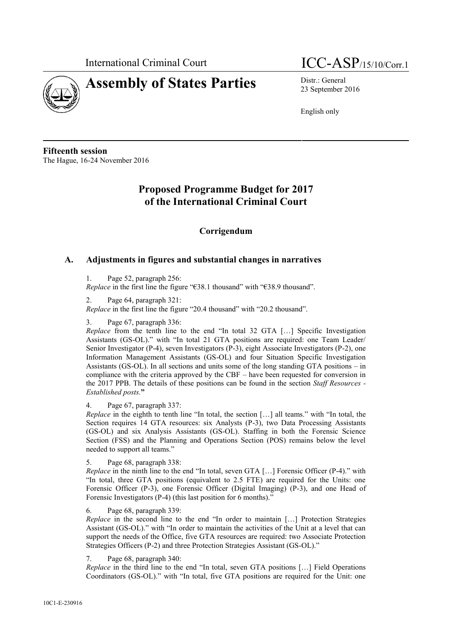

# **Assembly of States Parties** Distr.: General



23 September 2016

English only

**Fifteenth session** The Hague, 16-24 November 2016

# **Proposed Programme Budget for 2017 of the International Criminal Court**

# **Corrigendum**

## **A. Adjustments in figures and substantial changes in narratives**

1. Page 52, paragraph 256:

*Replace* in the first line the figure "€38.1 thousand" with "€38.9 thousand".

2. Page 64, paragraph 321:

*Replace* in the first line the figure "20.4 thousand" with "20.2 thousand".

#### 3. Page 67, paragraph 336:

*Replace* from the tenth line to the end "In total 32 GTA […] Specific Investigation Assistants (GS-OL)." with "In total 21 GTA positions are required: one Team Leader/ Senior Investigator (P-4), seven Investigators (P-3), eight Associate Investigators (P-2), one Information Management Assistants (GS-OL) and four Situation Specific Investigation Assistants (GS-OL). In all sections and units some of the long standing GTA positions – in compliance with the criteria approved by the CBF – have been requested for conversion in the 2017 PPB. The details of these positions can be found in the section *Staff Resources - Established posts.***"**

#### 4. Page 67, paragraph 337:

*Replace* in the eighth to tenth line "In total, the section […] all teams." with "In total, the Section requires 14 GTA resources: six Analysts (P-3), two Data Processing Assistants (GS-OL) and six Analysis Assistants (GS-OL). Staffing in both the Forensic Science Section (FSS) and the Planning and Operations Section (POS) remains below the level needed to support all teams."

5. Page 68, paragraph 338:

*Replace* in the ninth line to the end "In total, seven GTA [...] Forensic Officer (P-4)." with "In total, three GTA positions (equivalent to 2.5 FTE) are required for the Units: one Forensic Officer (P-3), one Forensic Officer (Digital Imaging) (P-3), and one Head of Forensic Investigators (P-4) (this last position for 6 months)."

#### 6. Page 68, paragraph 339:

*Replace* in the second line to the end "In order to maintain [...] Protection Strategies Assistant (GS-OL)." with "In order to maintain the activities of the Unit at a level that can support the needs of the Office, five GTA resources are required: two Associate Protection Strategies Officers (P-2) and three Protection Strategies Assistant (GS-OL)."

7. Page 68, paragraph 340:

*Replace* in the third line to the end "In total, seven GTA positions […] Field Operations Coordinators (GS-OL)." with "In total, five GTA positions are required for the Unit: one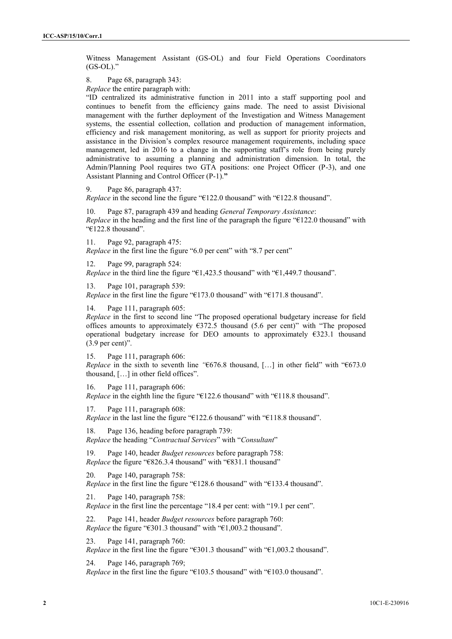Witness Management Assistant (GS-OL) and four Field Operations Coordinators  $(GS-OL)$ ."

8. Page 68, paragraph 343:

*Replace* the entire paragraph with:

"ID centralized its administrative function in 2011 into a staff supporting pool and continues to benefit from the efficiency gains made. The need to assist Divisional management with the further deployment of the Investigation and Witness Management systems, the essential collection, collation and production of management information, efficiency and risk management monitoring, as well as support for priority projects and assistance in the Division's complex resource management requirements, including space management, led in 2016 to a change in the supporting staff's role from being purely administrative to assuming a planning and administration dimension. In total, the Admin/Planning Pool requires two GTA positions: one Project Officer (P-3), and one Assistant Planning and Control Officer (P-1).**"**

9. Page 86, paragraph 437:

*Replace* in the second line the figure "€122.0 thousand" with "€122.8 thousand".

10. Page 87, paragraph 439 and heading *General Temporary Assistance*: *Replace* in the heading and the first line of the paragraph the figure "€122.0 thousand" with "€122.8 thousand".

11. Page 92, paragraph 475: *Replace* in the first line the figure "6.0 per cent" with "8.7 per cent"

12. Page 99, paragraph 524: *Replace* in the third line the figure "€1,423.5 thousand" with "€1,449.7 thousand".

13. Page 101, paragraph 539:

*Replace* in the first line the figure "€173.0 thousand" with "€171.8 thousand".

14. Page 111, paragraph 605:

*Replace* in the first to second line "The proposed operational budgetary increase for field offices amounts to approximately  $\epsilon$ 372.5 thousand (5.6 per cent)" with "The proposed operational budgetary increase for DEO amounts to approximately  $\epsilon$ 323.1 thousand  $(3.9$  per cent)".

15. Page 111, paragraph 606: *Replace* in the sixth to seventh line *"*€676.8 thousand, […] in other field" with "€673.0 thousand, […] in other field offices".

16. Page 111, paragraph 606: *Replace* in the eighth line the figure "€122.6 thousand" with "€118.8 thousand".

17. Page 111, paragraph 608: *Replace* in the last line the figure "€122.6 thousand" with "€118.8 thousand".

18. Page 136, heading before paragraph 739: *Replace* the heading "*Contractual Services*" with "*Consultant*"

19. Page 140, header *Budget resources* before paragraph 758: *Replace* the figure "€826.3.4 thousand" with "€831.1 thousand"

20. Page 140, paragraph 758: *Replace* in the first line the figure "€128.6 thousand" with "€133.4 thousand".

21. Page 140, paragraph 758: *Replace* in the first line the percentage "18.4 per cent: with "19.1 per cent".

22. Page 141, header *Budget resources* before paragraph 760: *Replace* the figure "€301.3 thousand" with "€1,003.2 thousand".

23. Page 141, paragraph 760: *Replace* in the first line the figure "€301.3 thousand" with "€1,003.2 thousand".

24. Page 146, paragraph 769; *Replace* in the first line the figure "€103.5 thousand" with "€103.0 thousand".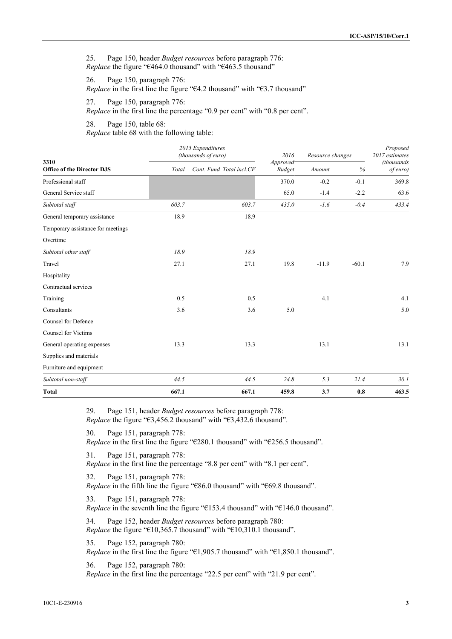25. Page 150, header *Budget resources* before paragraph 776: *Replace* the figure "€464.0 thousand" with "€463.5 thousand"

26. Page 150, paragraph 776: *Replace* in the first line the figure "€4.2 thousand" with "€3.7 thousand"

27. Page 150, paragraph 776:

*Replace* in the first line the percentage "0.9 per cent" with "0.8 per cent".

28. Page 150, table 68: *Replace* table 68 with the following table:

| 3310<br><b>Office of the Director DJS</b> | 2015 Expenditures<br>(thousands of euro) |                          | 2016                                   | Resource changes |         | Proposed<br>2017 estimates |
|-------------------------------------------|------------------------------------------|--------------------------|----------------------------------------|------------------|---------|----------------------------|
|                                           | Total                                    | Cont. Fund Total incl.CF | Approved <sup>-</sup><br><b>Budget</b> | Amount           | %       | (thousands<br>of euro)     |
| Professional staff                        |                                          |                          | 370.0                                  | $-0.2$           | $-0.1$  | 369.8                      |
| General Service staff                     |                                          |                          | 65.0                                   | $-1.4$           | $-2.2$  | 63.6                       |
| Subtotal staff                            | 603.7                                    | 603.7                    | 435.0                                  | $-1.6$           | $-0.4$  | 433.4                      |
| General temporary assistance              | 18.9                                     | 18.9                     |                                        |                  |         |                            |
| Temporary assistance for meetings         |                                          |                          |                                        |                  |         |                            |
| Overtime                                  |                                          |                          |                                        |                  |         |                            |
| Subtotal other staff                      | 18.9                                     | 18.9                     |                                        |                  |         |                            |
| Travel                                    | 27.1                                     | 27.1                     | 19.8                                   | $-11.9$          | $-60.1$ | 7.9                        |
| Hospitality                               |                                          |                          |                                        |                  |         |                            |
| Contractual services                      |                                          |                          |                                        |                  |         |                            |
| Training                                  | 0.5                                      | 0.5                      |                                        | 4.1              |         | 4.1                        |
| Consultants                               | 3.6                                      | 3.6                      | 5.0                                    |                  |         | 5.0                        |
| Counsel for Defence                       |                                          |                          |                                        |                  |         |                            |
| <b>Counsel for Victims</b>                |                                          |                          |                                        |                  |         |                            |
| General operating expenses                | 13.3                                     | 13.3                     |                                        | 13.1             |         | 13.1                       |
| Supplies and materials                    |                                          |                          |                                        |                  |         |                            |
| Furniture and equipment                   |                                          |                          |                                        |                  |         |                            |
| Subtotal non-staff                        | 44.5                                     | 44.5                     | 24.8                                   | 5.3              | 21.4    | 30.1                       |
| <b>Total</b>                              | 667.1                                    | 667.1                    | 459.8                                  | 3.7              | 0.8     | 463.5                      |

29. Page 151, header *Budget resources* before paragraph 778: *Replace* the figure "€3,456.2 thousand" with "€3,432.6 thousand".

30. Page 151, paragraph 778: *Replace* in the first line the figure "€280.1 thousand" with "€256.5 thousand".

31. Page 151, paragraph 778: *Replace* in the first line the percentage "8.8 per cent" with "8.1 per cent".

32. Page 151, paragraph 778: *Replace* in the fifth line the figure "€86.0 thousand" with "€69.8 thousand".

33. Page 151, paragraph 778:

*Replace* in the seventh line the figure "€153.4 thousand" with "€146.0 thousand".

34. Page 152, header *Budget resources* before paragraph 780: *Replace* the figure "€10,365.7 thousand" with "€10,310.1 thousand".

35. Page 152, paragraph 780: *Replace* in the first line the figure "€1,905.7 thousand" with "€1,850.1 thousand".

36. Page 152, paragraph 780: *Replace* in the first line the percentage "22.5 per cent" with "21.9 per cent".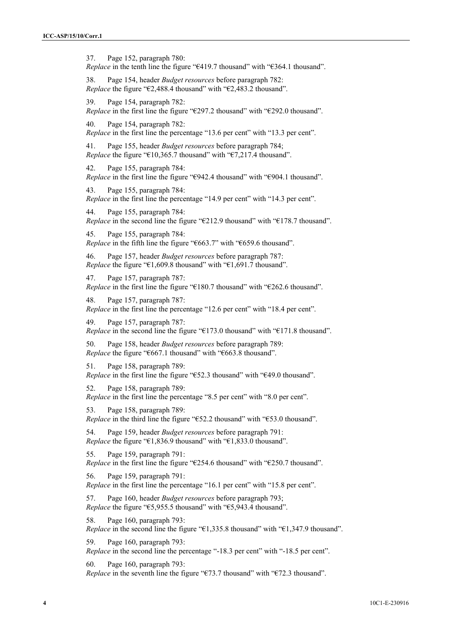37. Page 152, paragraph 780: *Replace* in the tenth line the figure "€419.7 thousand" with "€364.1 thousand".

38. Page 154, header *Budget resources* before paragraph 782: *Replace* the figure "€2,488.4 thousand" with "€2,483.2 thousand".

39. Page 154, paragraph 782: *Replace* in the first line the figure "€297.2 thousand" with "€292.0 thousand".

40. Page 154, paragraph 782: *Replace* in the first line the percentage "13.6 per cent" with "13.3 per cent".

41. Page 155, header *Budget resources* before paragraph 784; *Replace* the figure "€10,365.7 thousand" with "€7,217.4 thousand".

42. Page 155, paragraph 784: *Replace* in the first line the figure "€942.4 thousand" with "€904.1 thousand".

43. Page 155, paragraph 784: *Replace* in the first line the percentage "14.9 per cent" with "14.3 per cent".

44. Page 155, paragraph 784: *Replace* in the second line the figure "€212.9 thousand" with "€178.7 thousand".

45. Page 155, paragraph 784: *Replace* in the fifth line the figure "€663.7" with "€659.6 thousand".

46. Page 157, header *Budget resources* before paragraph 787: *Replace* the figure "€1,609.8 thousand" with "€1,691.7 thousand".

47. Page 157, paragraph 787: *Replace* in the first line the figure "€180.7 thousand" with "€262.6 thousand".

48. Page 157, paragraph 787: *Replace* in the first line the percentage "12.6 per cent" with "18.4 per cent".

49. Page 157, paragraph 787: *Replace* in the second line the figure "€173.0 thousand" with "€171.8 thousand".

50. Page 158, header *Budget resources* before paragraph 789: *Replace* the figure "€667.1 thousand" with "€663.8 thousand".

51. Page 158, paragraph 789: *Replace* in the first line the figure "€52.3 thousand" with "€49.0 thousand".

52. Page 158, paragraph 789: *Replace* in the first line the percentage "8.5 per cent" with "8.0 per cent".

53. Page 158, paragraph 789: *Replace* in the third line the figure "€52.2 thousand" with "€53.0 thousand".

54. Page 159, header *Budget resources* before paragraph 791: *Replace* the figure "€1,836.9 thousand" with "€1,833.0 thousand".

55. Page 159, paragraph 791: *Replace* in the first line the figure "€254.6 thousand" with "€250.7 thousand".

56. Page 159, paragraph 791: *Replace* in the first line the percentage "16.1 per cent" with "15.8 per cent".

57. Page 160, header *Budget resources* before paragraph 793; *Replace* the figure "€5,955.5 thousand" with "€5,943.4 thousand".

58. Page 160, paragraph 793: *Replace* in the second line the figure "€1,335.8 thousand" with "€1,347.9 thousand".

59. Page 160, paragraph 793: *Replace* in the second line the percentage "-18.3 per cent" with "-18.5 per cent".

60. Page 160, paragraph 793: *Replace* in the seventh line the figure "€73.7 thousand" with "€72.3 thousand".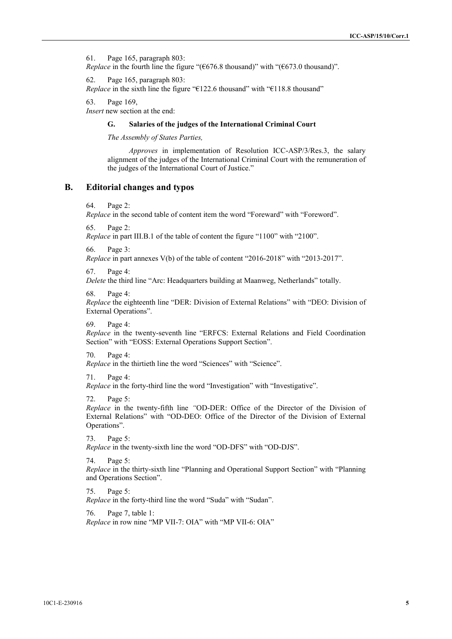61. Page 165, paragraph 803: *Replace* in the fourth line the figure " $(\text{\textsterling}676.8 \text{ thousand})$ " with " $(\text{\textsterling}673.0 \text{ thousand})$ ".

62. Page 165, paragraph 803: *Replace* in the sixth line the figure "€122.6 thousand" with "€118.8 thousand"

63. Page 169,

*Insert* new section at the end:

#### **G. Salaries of the judges of the International Criminal Court**

*The Assembly of States Parties,*

*Approves* in implementation of Resolution ICC-ASP/3/Res.3, the salary alignment of the judges of the International Criminal Court with the remuneration of the judges of the International Court of Justice."

### **B. Editorial changes and typos**

64. Page 2:

*Replace* in the second table of content item the word "Foreward" with "Foreword".

65. Page 2:

*Replace* in part III.B.1 of the table of content the figure "1100" with "2100".

66. Page 3:

*Replace* in part annexes V(b) of the table of content "2016-2018" with "2013-2017".

67. Page 4:

*Delete* the third line "Arc: Headquarters building at Maanweg, Netherlands" totally.

68. Page 4:

*Replace* the eighteenth line "DER: Division of External Relations" with "DEO: Division of External Operations".

69. Page 4:

*Replace* in the twenty-seventh line "ERFCS: External Relations and Field Coordination Section" with "EOSS: External Operations Support Section".

70. Page 4:

*Replace* in the thirtieth line the word "Sciences" with "Science".

71. Page 4:

*Replace* in the forty-third line the word "Investigation" with "Investigative".

72. Page 5:

*Replace* in the twenty-fifth line *"*OD-DER: Office of the Director of the Division of External Relations" with "OD-DEO: Office of the Director of the Division of External Operations".

73. Page 5:

*Replace* in the twenty-sixth line the word "OD-DFS" with "OD-DJS".

74. Page 5:

*Replace* in the thirty-sixth line "Planning and Operational Support Section" with "Planning and Operations Section".

75. Page 5:

*Replace* in the forty-third line the word "Suda" with "Sudan".

76. Page 7, table 1: *Replace* in row nine "MP VII-7: OIA" with "MP VII-6: OIA"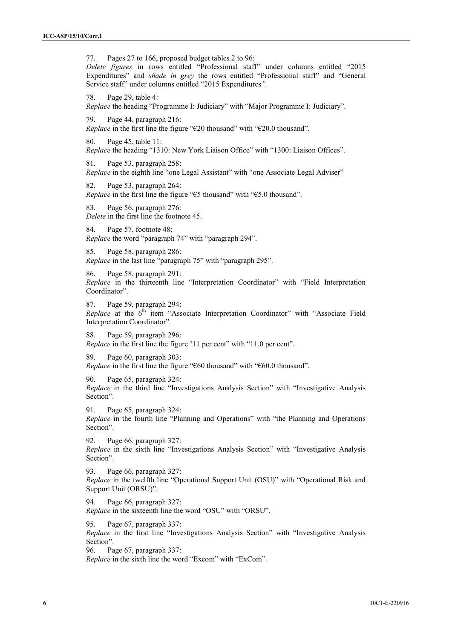77. Pages 27 to 166, proposed budget tables 2 to 96: *Delete figures* in rows entitled "Professional staff" under columns entitled "2015 Expenditures" and *shade in grey* the rows entitled "Professional staff" and "General Service staff" under columns entitled "2015 Expenditures*".* 78. Page 29, table 4: *Replace* the heading "Programme I: Judiciary" with "Major Programme I: Judiciary". 79. Page 44, paragraph 216: *Replace* in the first line the figure "€20 thousand" with "€20.0 thousand". 80. Page 45, table 11: *Replace* the heading "1310: New York Liaison Office" with "1300: Liaison Offices". 81. Page 53, paragraph 258: *Replace* in the eighth line "one Legal Assistant" with "one Associate Legal Adviser" 82. Page 53, paragraph 264: *Replace* in the first line the figure "€5 thousand" with "€5.0 thousand". 83. Page 56, paragraph 276: *Delete* in the first line the footnote 45. 84. Page 57, footnote 48: *Replace* the word "paragraph 74" with "paragraph 294". 85. Page 58, paragraph 286: *Replace* in the last line "paragraph 75" with "paragraph 295". 86. Page 58, paragraph 291: *Replace* in the thirteenth line "Interpretation Coordinator" with "Field Interpretation Coordinator". 87. Page 59, paragraph 294: *Replace* at the 6<sup>th</sup> item "Associate Interpretation Coordinator" with "Associate Field Interpretation Coordinator". 88. Page 59, paragraph 296: *Replace* in the first line the figure '11 per cent'' with "11.0 per cent". 89. Page 60, paragraph 303: *Replace* in the first line the figure "€60 thousand" with "€60.0 thousand". 90. Page 65, paragraph 324: *Replace* in the third line "Investigations Analysis Section" with "Investigative Analysis Section". 91. Page 65, paragraph 324: *Replace* in the fourth line "Planning and Operations" with "the Planning and Operations Section". 92. Page 66, paragraph 327: *Replace* in the sixth line "Investigations Analysis Section" with "Investigative Analysis Section". 93. Page 66, paragraph 327: *Replace* in the twelfth line "Operational Support Unit (OSU)" with "Operational Risk and Support Unit (ORSU)". 94. Page 66, paragraph 327: *Replace* in the sixteenth line the word "OSU" with "ORSU". 95. Page 67, paragraph 337: *Replace* in the first line "Investigations Analysis Section" with "Investigative Analysis Section". 96. Page 67, paragraph 337:

*Replace* in the sixth line the word "Excom" with "ExCom".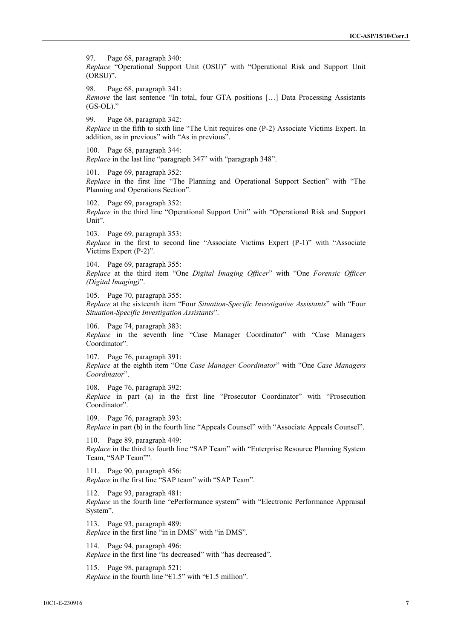97. Page 68, paragraph 340: *Replace* "Operational Support Unit (OSU)" with "Operational Risk and Support Unit (ORSU)".

98. Page 68, paragraph 341: *Remove* the last sentence "In total, four GTA positions [...] Data Processing Assistants  $(GS-OL)$ ."

99. Page 68, paragraph 342: *Replace* in the fifth to sixth line "The Unit requires one (P-2) Associate Victims Expert. In addition, as in previous" with "As in previous".

100. Page 68, paragraph 344: *Replace* in the last line "paragraph 347" with "paragraph 348".

101. Page 69, paragraph 352: *Replace* in the first line "The Planning and Operational Support Section" with "The Planning and Operations Section".

102. Page 69, paragraph 352: *Replace* in the third line "Operational Support Unit" with "Operational Risk and Support Unit".

103. Page 69, paragraph 353: *Replace* in the first to second line "Associate Victims Expert (P-1)" with "Associate Victims Expert (P-2)".

104. Page 69, paragraph 355: *Replace* at the third item "One *Digital Imaging Officer*" with "One *Forensic Officer (Digital Imaging)*".

105. Page 70, paragraph 355: *Replace* at the sixteenth item "Four *Situation-Specific Investigative Assistants*" with "Four *Situation-Specific Investigation Assistants*".

106. Page 74, paragraph 383: *Replace* in the seventh line "Case Manager Coordinator" with "Case Managers Coordinator".

107. Page 76, paragraph 391: *Replace* at the eighth item "One*Case Manager Coordinator*" with "One *Case Managers Coordinator*".

108. Page 76, paragraph 392: *Replace* in part (a) in the first line "Prosecutor Coordinator" with "Prosecution Coordinator".

109. Page 76, paragraph 393: *Replace* in part (b) in the fourth line "Appeals Counsel" with "Associate Appeals Counsel".

110. Page 89, paragraph 449: *Replace* in the third to fourth line "SAP Team" with "Enterprise Resource Planning System Team, "SAP Team"".

111. Page 90, paragraph 456: *Replace* in the first line "SAP team" with "SAP Team".

112. Page 93, paragraph 481: *Replace* in the fourth line "ePerformance system" with "Electronic Performance Appraisal System".

113. Page 93, paragraph 489: *Replace* in the first line "in in DMS" with "in DMS".

114. Page 94, paragraph 496: *Replace* in the first line "hs decreased" with "has decreased".

115. Page 98, paragraph 521: *Replace* in the fourth line "€1.5" with "€1.5 million".